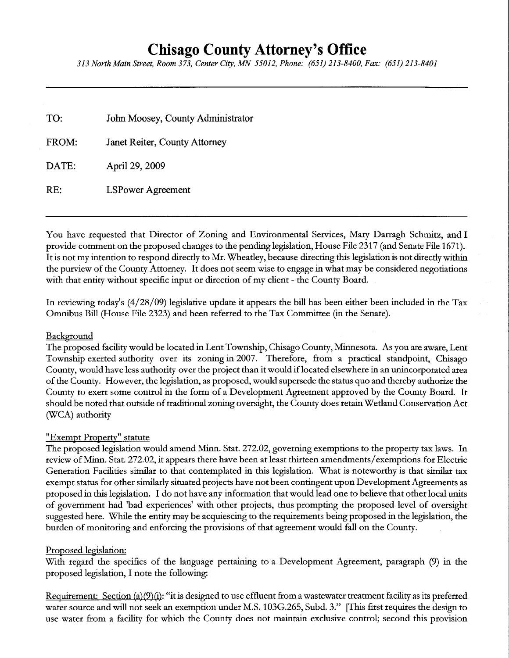# Chisago County Attorney's Office

313 North Mqin Street, Room 373, Center City, MN 55012, Phone: (651) 213-8400, Fax: (651) 213-8401

| TO:   | John Moosey, County Administrator |
|-------|-----------------------------------|
| FROM: | Janet Reiter, County Attorney     |
| DATE: | April 29, 2009                    |
| RE:   | <b>LSPower Agreement</b>          |

You have requested that Director of Zoning and Environmental Services, Mary Darragh Schmitz, and I provide comment on the proposed changes to the pending legislation, House File 2317 (and Senate File 1671). It is not my intention to respond directly to Mr. Wheatley, because directing this legislation is not directly within the purview of the County Attomey. It does not seem wise to engage in what may be considered negotiations with that entity without specific input or direction of my client - the County Board.

In reviewing today's (4/28/09) legislative update it appears the bill has been either been included in the Tax Omnibus Bill (House File 2323) and been referred to the Tax Committee (in the Senate).

## **Background**

The proposed facility would be located in Lent Township, Chisago County, Minnesota. As you ate aware, Lent Township exerted authority over its zoning in 2007. Therefore, from a practical standpoint, Chisago County, would have less authority over the project than it would if located elsewhere in an unincorporated area of the County. However, the legislation, as proposed, would supersede the status quo and thereby authorize the County to exert some control in the form of a Development Agreement approved by the County Boatd. It should be noted that outside of traditional zoning oversight, the County does retain Wetland Conservation Act (WCA) authority

## <u>"Exempt Property" statute</u>

The proposed legislation would amend Minn. Stat.272.02, governing exemptions to the property tax laws. In review of Minn. Stat. 272.02, it appears there have been at least thirteen amendments/exemptions for Electric Generation Facilities similat to that contemplated in this legislation. What is noteworthy is that similar tax exempt status for other similarly situated projects have not been contingent upon Development Agreements as proposed in this legislation. I do not have any information that would lead one to believe that other local units of government had 'bad experiences' with other projects, thus prompting the proposed level of oversight suggested here. While the entity may be acquiescing to the requirements being proposed in the legislation, the burden of monitoring and enforcing the provisions of that agreement would fall on the County.

## Proposed legislation:

With regard the specifics of the language pertaining to a Development Agreement, paragraph (9) in the ptoposed legislation, I note the following:

Requirement: Section (a)  $(9)(i)$ : "it is designed to use effluent from a wastewater treatment facility as its preferred water source and will not seek an exemption under M.S. 103G.265, Subd. 3." [This first requires the design to use water ftom a facility for which the County does not maintain exclusive conftol; second this provision